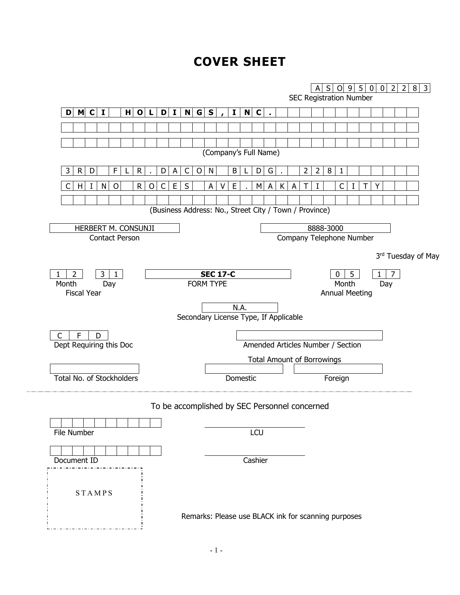# **COVER SHEET**

|                                           |                                                        |                                   | A                              | S O 9 5 0             |   | 0 2 | $\overline{3}$<br>$\overline{2}$<br>8 |
|-------------------------------------------|--------------------------------------------------------|-----------------------------------|--------------------------------|-----------------------|---|-----|---------------------------------------|
|                                           |                                                        |                                   | <b>SEC Registration Number</b> |                       |   |     |                                       |
| D M C I<br>$H$ O<br>$\mathbf{L}$          | N G S<br>D I <br>$\mathbf I$                           | N C                               |                                |                       |   |     |                                       |
|                                           |                                                        |                                   |                                |                       |   |     |                                       |
|                                           |                                                        |                                   |                                |                       |   |     |                                       |
|                                           |                                                        | (Company's Full Name)             |                                |                       |   |     |                                       |
|                                           |                                                        |                                   |                                |                       |   |     |                                       |
| D<br>F<br>R<br>3<br>R<br>D                | B<br>C<br>N<br>A<br>O                                  | D<br>G                            | 8<br>2<br>2                    | 1                     |   |     |                                       |
| $\mathsf R$<br>C<br>N<br>O<br>O<br>C<br>H | S<br>E<br>А<br>Е                                       | A<br>М<br>к                       |                                | C                     |   |     |                                       |
|                                           |                                                        |                                   |                                |                       |   |     |                                       |
|                                           | (Business Address: No., Street City / Town / Province) |                                   |                                |                       |   |     |                                       |
| HERBERT M. CONSUNJI                       |                                                        |                                   | 8888-3000                      |                       |   |     |                                       |
| <b>Contact Person</b>                     |                                                        |                                   | Company Telephone Number       |                       |   |     |                                       |
|                                           |                                                        |                                   |                                |                       |   |     | 3rd Tuesday of May                    |
|                                           |                                                        |                                   |                                |                       |   |     |                                       |
| 2<br>3<br>1<br>Month<br>Day               | <b>SEC 17-C</b><br><b>FORM TYPE</b>                    |                                   |                                | $\mathbf{0}$<br>Month | 5 | Day |                                       |
| <b>Fiscal Year</b>                        |                                                        |                                   |                                | <b>Annual Meeting</b> |   |     |                                       |
|                                           | N.A.                                                   |                                   |                                |                       |   |     |                                       |
|                                           | Secondary License Type, If Applicable                  |                                   |                                |                       |   |     |                                       |
| F<br>C<br>D                               |                                                        |                                   |                                |                       |   |     |                                       |
| Dept Requiring this Doc                   |                                                        | Amended Articles Number / Section |                                |                       |   |     |                                       |
|                                           |                                                        | <b>Total Amount of Borrowings</b> |                                |                       |   |     |                                       |
|                                           |                                                        |                                   |                                |                       |   |     |                                       |
| Total No. of Stockholders                 |                                                        | Domestic                          |                                | Foreign               |   |     |                                       |
|                                           |                                                        |                                   |                                |                       |   |     |                                       |
|                                           | To be accomplished by SEC Personnel concerned          |                                   |                                |                       |   |     |                                       |
|                                           |                                                        |                                   |                                |                       |   |     |                                       |
|                                           |                                                        | LCU                               |                                |                       |   |     |                                       |
| File Number                               |                                                        |                                   |                                |                       |   |     |                                       |
|                                           |                                                        |                                   |                                |                       |   |     |                                       |
|                                           |                                                        |                                   |                                |                       |   |     |                                       |
| Document ID                               |                                                        | Cashier                           |                                |                       |   |     |                                       |
|                                           |                                                        |                                   |                                |                       |   |     |                                       |
| STAMPS                                    |                                                        |                                   |                                |                       |   |     |                                       |
|                                           | Remarks: Please use BLACK ink for scanning purposes    |                                   |                                |                       |   |     |                                       |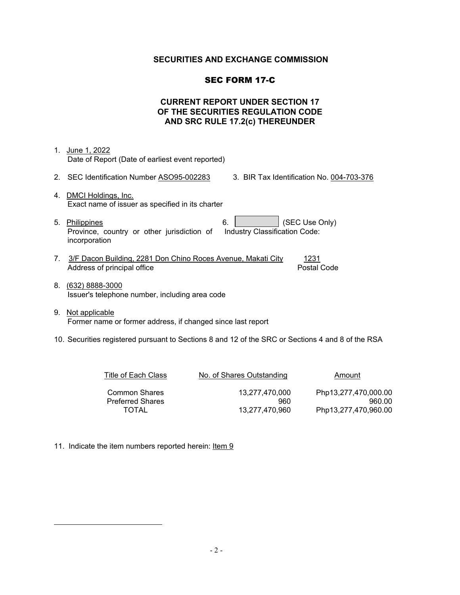## **SECURITIES AND EXCHANGE COMMISSION**

## SEC FORM 17-C

## **CURRENT REPORT UNDER SECTION 17 OF THE SECURITIES REGULATION CODE AND SRC RULE 17.2(c) THEREUNDER**

- 1. June 1, 2022 Date of Report (Date of earliest event reported) 2. SEC Identification Number ASO95-002283 3. BIR Tax Identification No. 004-703-376
- 4. DMCI Holdings, Inc. Exact name of issuer as specified in its charter
- 5. Philippines 6. (SEC Use Only) Province, country or other jurisdiction of incorporation Industry Classification Code:
- 7. 3/F Dacon Building, 2281 Don Chino Roces Avenue, Makati City 1231 Address of principal office **Postal Code** Postal Code
- 8. (632) 8888-3000 Issuer's telephone number, including area code
- 9. Not applicable Former name or former address, if changed since last report
- 10. Securities registered pursuant to Sections 8 and 12 of the SRC or Sections 4 and 8 of the RSA

| Title of Each Class                             | No. of Shares Outstanding | Amount                         |
|-------------------------------------------------|---------------------------|--------------------------------|
| <b>Common Shares</b><br><b>Preferred Shares</b> | 13.277.470.000<br>960     | Php13,277,470,000.00<br>960.00 |
| TOTAL                                           | 13.277.470.960            | Php13,277,470,960.00           |

11. Indicate the item numbers reported herein: Item 9

<span id="page-1-0"></span> $\overline{a}$